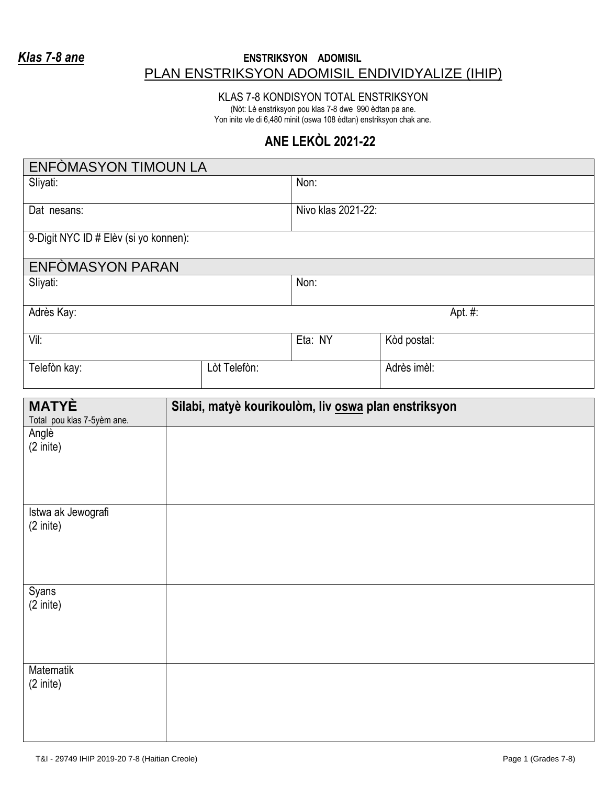## *Klas 7-8 ane* **ENSTRIKSYON ADOMISIL** PLAN ENSTRIKSYON ADOMISIL ENDIVIDYALIZE (IHIP)

KLAS 7-8 KONDISYON TOTAL ENSTRIKSYON

(Nòt: Lè enstriksyon pou klas 7-8 dwe 990 èdtan pa ane. Yon inite vle di 6,480 minit (oswa 108 èdtan) enstriksyon chak ane.

## **ANE LEKÒL 2021-22**

| ENFOMASYON TIMOUN LA                     |  |              |                    |                                                      |  |
|------------------------------------------|--|--------------|--------------------|------------------------------------------------------|--|
| Sliyati:                                 |  |              | Non:               |                                                      |  |
| Dat nesans:                              |  |              | Nivo klas 2021-22: |                                                      |  |
| 9-Digit NYC ID # Elèv (si yo konnen):    |  |              |                    |                                                      |  |
| ENFOMASYON PARAN                         |  |              |                    |                                                      |  |
| Sliyati:                                 |  |              | Non:               |                                                      |  |
| Adrès Kay:                               |  |              | Apt. #:            |                                                      |  |
| Vil:                                     |  |              | Eta: NY            | Kòd postal:                                          |  |
| Telefòn kay:                             |  | Lòt Telefòn: |                    | Adrès imèl:                                          |  |
| <b>MATYÈ</b>                             |  |              |                    |                                                      |  |
| Total pou klas 7-5yèm ane.               |  |              |                    | Silabi, matyè kourikoulòm, liv oswa plan enstriksyon |  |
| Anglè<br>$(2 \text{ inite})$             |  |              |                    |                                                      |  |
| Istwa ak Jewografi<br>$(2 \text{inite})$ |  |              |                    |                                                      |  |
| Syans<br>(2 inite)                       |  |              |                    |                                                      |  |
| Matematik<br>$(2 \text{inite})$          |  |              |                    |                                                      |  |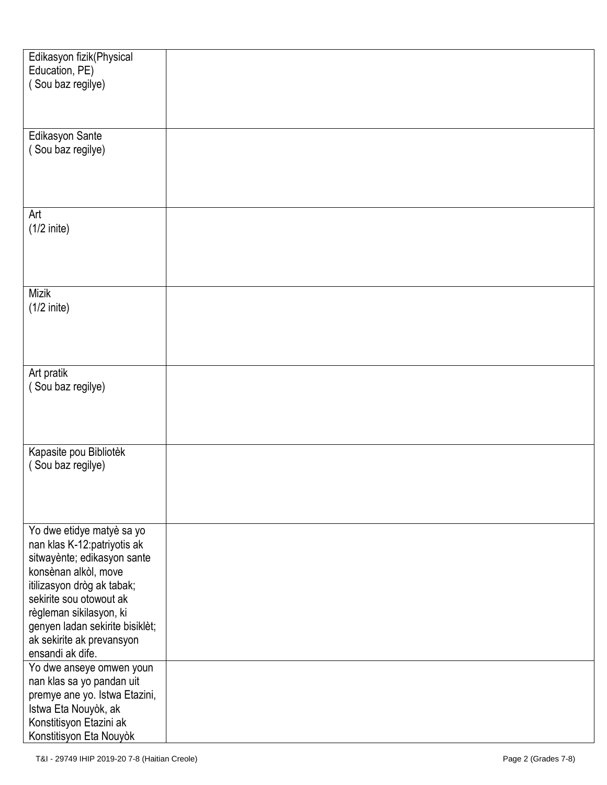| Edikasyon fizik(Physical        |  |
|---------------------------------|--|
|                                 |  |
| Education, PE)                  |  |
| (Sou baz regilye)               |  |
|                                 |  |
|                                 |  |
|                                 |  |
| Edikasyon Sante                 |  |
| (Sou baz regilye)               |  |
|                                 |  |
|                                 |  |
|                                 |  |
|                                 |  |
|                                 |  |
| Art                             |  |
| $(1/2$ inite)                   |  |
|                                 |  |
|                                 |  |
|                                 |  |
|                                 |  |
|                                 |  |
| <b>Mizik</b>                    |  |
| $(1/2$ inite)                   |  |
|                                 |  |
|                                 |  |
|                                 |  |
|                                 |  |
| Art pratik                      |  |
| (Sou baz regilye)               |  |
|                                 |  |
|                                 |  |
|                                 |  |
|                                 |  |
|                                 |  |
| Kapasite pou Bibliotèk          |  |
| (Sou baz regilye)               |  |
|                                 |  |
|                                 |  |
|                                 |  |
|                                 |  |
|                                 |  |
| Yo dwe etidye matyè sa yo       |  |
| nan klas K-12:patriyotis ak     |  |
| sitwayènte; edikasyon sante     |  |
| konsènan alkòl, move            |  |
| itilizasyon dròg ak tabak;      |  |
| sekirite sou otowout ak         |  |
| règleman sikilasyon, ki         |  |
|                                 |  |
| genyen ladan sekirite bisiklèt; |  |
| ak sekirite ak prevansyon       |  |
| ensandi ak dife.                |  |
| Yo dwe anseye omwen youn        |  |
| nan klas sa yo pandan uit       |  |
|                                 |  |
| premye ane yo. Istwa Etazini,   |  |
| Istwa Eta Nouyòk, ak            |  |
| Konstitisyon Etazini ak         |  |
| Konstitisyon Eta Nouyòk         |  |